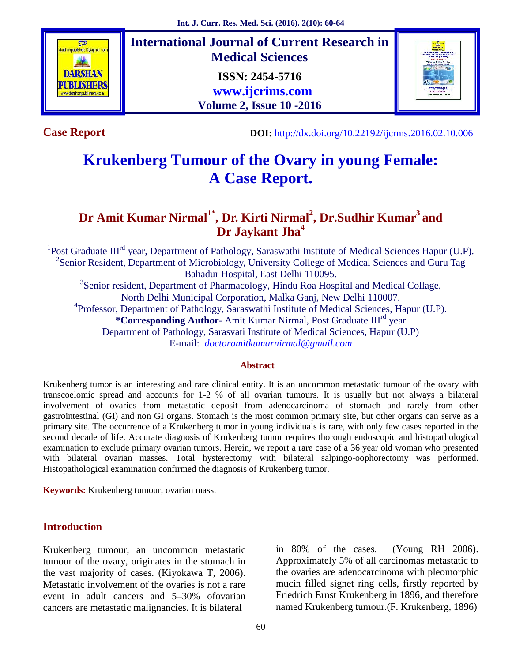

**International Journal of Current Research in Medical Sciences ISSN: 2454-5716 www.ijcrims.com Volume 2, Issue 10 -2016**



**Case Report**

**DOI:** http://dx.doi.org/10.22192/ijcrms.2016.02.10.006

# **Krukenberg Tumour of the Ovary in young Female: A Case Report.**

## **Dr Amit Kumar Nirmal1\* , Dr. Kirti Nirmal<sup>2</sup> , Dr.Sudhir Kumar<sup>3</sup> and Dr Jaykant Jha<sup>4</sup>**

<sup>1</sup>Post Graduate III<sup>rd</sup> year, Department of Pathology, Saraswathi Institute of Medical Sciences Hapur (U.P). <sup>2</sup>Senior Resident, Department of Microbiology, University College of Medical Sciences and Guru Tag Bahadur Hospital, East Delhi 110095. <sup>3</sup>Senior resident, Department of Pharmacology, Hindu Roa Hospital and Medical Collage, North Delhi Municipal Corporation, Malka Ganj, New Delhi 110007. <sup>4</sup>Professor, Department of Pathology, Saraswathi Institute of Medical Sciences, Hapur (U.P). **\*Corresponding Author-** Amit Kumar Nirmal, Post Graduate III<sup>rd</sup> year Department of Pathology, Sarasvati Institute of Medical Sciences, Hapur (U.P)

E-mail: *doctoramitkumarnirmal@gmail.com*

#### **Abstract**

Krukenberg tumor is an interesting and rare clinical entity. It is an uncommon metastatic tumour of the ovary with transcoelomic spread and accounts for 1-2 % of all ovarian tumours. It is usually but not always a bilateral involvement of ovaries from metastatic deposit from adenocarcinoma of stomach and rarely from other gastrointestinal (GI) and non GI organs. Stomach is the most common primary site, but other organs can serve as a primary site. The occurrence of a Krukenberg tumor in young individuals is rare, with only few cases reported in the second decade of life. Accurate diagnosis of Krukenberg tumor requires thorough endoscopic and histopathological examination to exclude primary ovarian tumors. Herein, we report a rare case of a 36 year old woman who presented with bilateral ovarian masses. Total hysterectomy with bilateral salpingo-oophorectomy was performed. Histopathological examination confirmed the diagnosis of Krukenberg tumor.

**Keywords:** Krukenberg tumour, ovarian mass.

## **Introduction**

Krukenberg tumour, an uncommon metastatic tumour of the ovary, originates in the stomach in the vast majority of cases. (Kiyokawa T, 2006). Metastatic involvement of the ovaries is not a rare event in adult cancers and 5–30% ofovarian cancers are metastatic malignancies. It is bilateral

in 80% of the cases. (Young RH 2006). Approximately 5% of all carcinomas metastatic to the ovaries are adenocarcinoma with pleomorphic mucin filled signet ring cells, firstly reported by Friedrich Ernst Krukenberg in 1896, and therefore named Krukenberg tumour.(F. Krukenberg, 1896)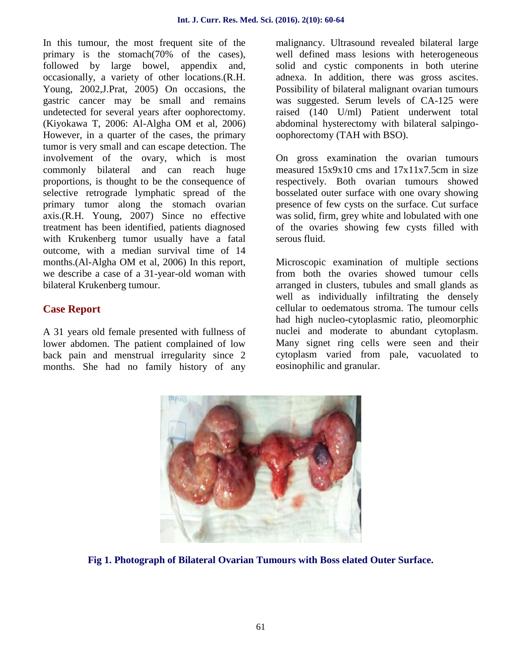In this tumour, the most frequent site of the primary is the stomach(70% of the cases), followed by large bowel, appendix and, occasionally, a variety of other locations.(R.H. Young, 2002,J.Prat, 2005) On occasions, the gastric cancer may be small and remains undetected for several years after oophorectomy. (Kiyokawa T, 2006: Al-Algha OM et al, 2006) However, in a quarter of the cases, the primary tumor is very small and can escape detection. The involvement of the ovary, which is most commonly bilateral and can reach huge proportions, is thought to be the consequence of selective retrograde lymphatic spread of the primary tumor along the stomach ovarian axis.(R.H. Young, 2007) Since no effective treatment has been identified, patients diagnosed with Krukenberg tumor usually have a fatal outcome, with a median survival time of 14 months.(Al-Algha OM et al, 2006) In this report, we describe a case of a 31-year-old woman with bilateral Krukenberg tumour.

## **Case Report**

A 31 years old female presented with fullness of lower abdomen. The patient complained of low back pain and menstrual irregularity since 2 months. She had no family history of any

malignancy. Ultrasound revealed bilateral large well defined mass lesions with heterogeneous solid and cystic components in both uterine adnexa. In addition, there was gross ascites. Possibility of bilateral malignant ovarian tumours was suggested. Serum levels of CA-125 were raised (140 U/ml) Patient underwent total abdominal hysterectomy with bilateral salpingo oophorectomy (TAH with BSO).

On gross examination the ovarian tumours measured 15x9x10 cms and 17x11x7.5cm in size respectively. Both ovarian tumours showed bosselated outer surface with one ovary showing presence of few cysts on the surface. Cut surface was solid, firm, grey white and lobulated with one of the ovaries showing few cysts filled with serous fluid.

Microscopic examination of multiple sections from both the ovaries showed tumour cells arranged in clusters, tubules and small glands as well as individually infiltrating the densely cellular to oedematous stroma. The tumour cells had high nucleo-cytoplasmic ratio, pleomorphic nuclei and moderate to abundant cytoplasm. Many signet ring cells were seen and their cytoplasm varied from pale, vacuolated to eosinophilic and granular.



**Fig 1. Photograph of Bilateral Ovarian Tumours with Boss elated Outer Surface.**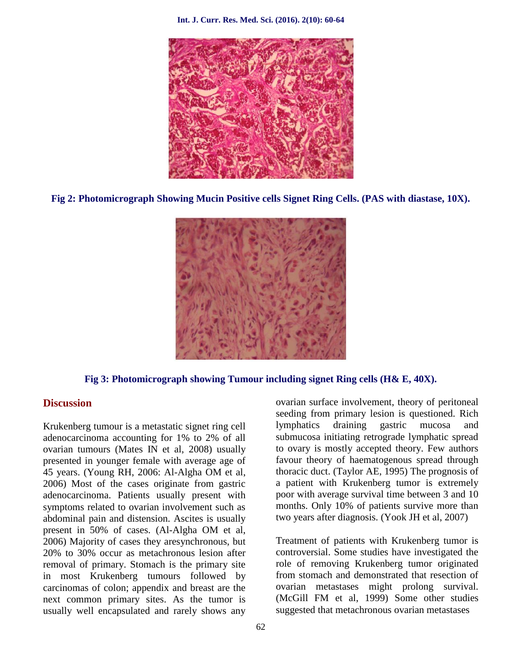**Int. J. Curr. Res. Med. Sci. (2016). 2(10): 60-64**



**Fig 2: Photomicrograph Showing Mucin Positive cells Signet Ring Cells. (PAS with diastase, 10X).**



**Fig 3: Photomicrograph showing Tumour including signet Ring cells (H& E, 40X).**

### **Discussion**

Krukenberg tumour is a metastatic signet ring cell adenocarcinoma accounting for 1% to 2% of all ovarian tumours (Mates IN et al, 2008) usually presented in younger female with average age of 45 years. (Young RH, 2006: Al-Algha OM et al, 2006) Most of the cases originate from gastric adenocarcinoma. Patients usually present with symptoms related to ovarian involvement such as abdominal pain and distension. Ascites is usually present in 50% of cases. (Al-Algha OM et al, 2006) Majority of cases they aresynchronous, but 20% to 30% occur as metachronous lesion after removal of primary. Stomach is the primary site in most Krukenberg tumours followed by carcinomas of colon; appendix and breast are the next common primary sites. As the tumor is usually well encapsulated and rarely shows any

ovarian surface involvement, theory of peritoneal seeding from primary lesion is questioned. Rich lymphatics draining gastric mucosa and submucosa initiating retrograde lymphatic spread to ovary is mostly accepted theory. Few authors favour theory of haematogenous spread through thoracic duct. (Taylor AE, 1995) The prognosis of a patient with Krukenberg tumor is extremely poor with average survival time between 3 and 10 months. Only 10% of patients survive more than two years after diagnosis. (Yook JH et al, 2007)

Treatment of patients with Krukenberg tumor is controversial. Some studies have investigated the role of removing Krukenberg tumor originated from stomach and demonstrated that resection of ovarian metastases might prolong survival. (McGill FM et al, 1999) Some other studies suggested that metachronous ovarian metastases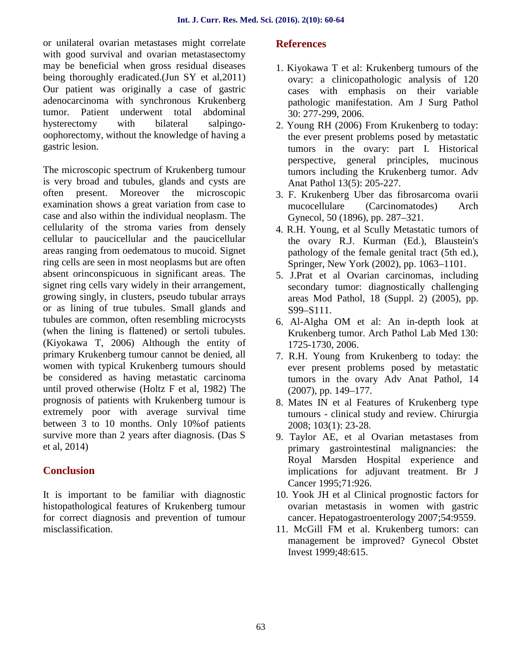or unilateral ovarian metastases might correlate with good survival and ovarian metastasectomy may be beneficial when gross residual diseases being thoroughly eradicated.(Jun SY et al,2011) Our patient was originally a case of gastric adenocarcinoma with synchronous Krukenberg tumor. Patient underwent total abdominal hysterectomy with bilateral salpingo oophorectomy, without the knowledge of having a gastric lesion.

The microscopic spectrum of Krukenberg tumour is very broad and tubules, glands and cysts are often present. Moreover the microscopic examination shows a great variation from case to case and also within the individual neoplasm. The cellularity of the stroma varies from densely cellular to paucicellular and the paucicellular areas ranging from oedematous to mucoid. Signet ring cells are seen in most neoplasms but are often absent orinconspicuous in significant areas. The signet ring cells vary widely in their arrangement, growing singly, in clusters, pseudo tubular arrays or as lining of true tubules. Small glands and tubules are common, often resembling microcysts (when the lining is flattened) or sertoli tubules. (Kiyokawa T, 2006) Although the entity of primary Krukenberg tumour cannot be denied, all women with typical Krukenberg tumours should be considered as having metastatic carcinoma until proved otherwise (Holtz F et al, 1982) The prognosis of patients with Krukenberg tumour is extremely poor with average survival time between 3 to 10 months. Only 10%of patients survive more than 2 years after diagnosis. (Das S et al, 2014)

## **Conclusion**

It is important to be familiar with diagnostic histopathological features of Krukenberg tumour for correct diagnosis and prevention of tumour misclassification.

## **References**

- 1. Kiyokawa T et al: Krukenberg tumours of the ovary: a clinicopathologic analysis of 120 cases with emphasis on their variable pathologic manifestation. Am J Surg Pathol 30: 277-299, 2006.
- 2. Young RH (2006) From Krukenberg to today: the ever present problems posed by metastatic tumors in the ovary: part I. Historical perspective, general principles, mucinous tumors including the Krukenberg tumor. Adv Anat Pathol 13(5): 205-227.
- 3. F. Krukenberg Uber das fibrosarcoma ovarii mucocellulare (Carcinomatodes) Arch Gynecol, 50 (1896), pp. 287–321.
- 4. R.H. Young, et al Scully Metastatic tumors of the ovary R.J. Kurman (Ed.), Blaustein's pathology of the female genital tract (5th ed.), Springer, New York (2002), pp. 1063–1101.
- 5. J.Prat et al Ovarian carcinomas, including secondary tumor: diagnostically challenging areas Mod Pathol, 18 (Suppl. 2) (2005), pp. S99–S111.
- 6. Al-Algha OM et al: An in-depth look at Krukenberg tumor. Arch Pathol Lab Med 130: 1725-1730, 2006.
- 7. R.H. Young from Krukenberg to today: the ever present problems posed by metastatic tumors in the ovary Adv Anat Pathol, 14 (2007), pp. 149–177.
- 8. Mates IN et al Features of Krukenberg type tumours - clinical study and review. Chirurgia 2008; 103(1): 23-28.
- 9. Taylor AE, et al Ovarian metastases from primary gastrointestinal malignancies: the Royal Marsden Hospital experience and implications for adjuvant treatment. Br J Cancer 1995 71:926.
- 10. Yook JH et al Clinical prognostic factors for ovarian metastasis in women with gastric cancer. Hepatogastroenterology 2007 54:9559.
- 11. McGill FM et al. Krukenberg tumors: can management be improved? Gynecol Obstet Invest 1999 48:615.